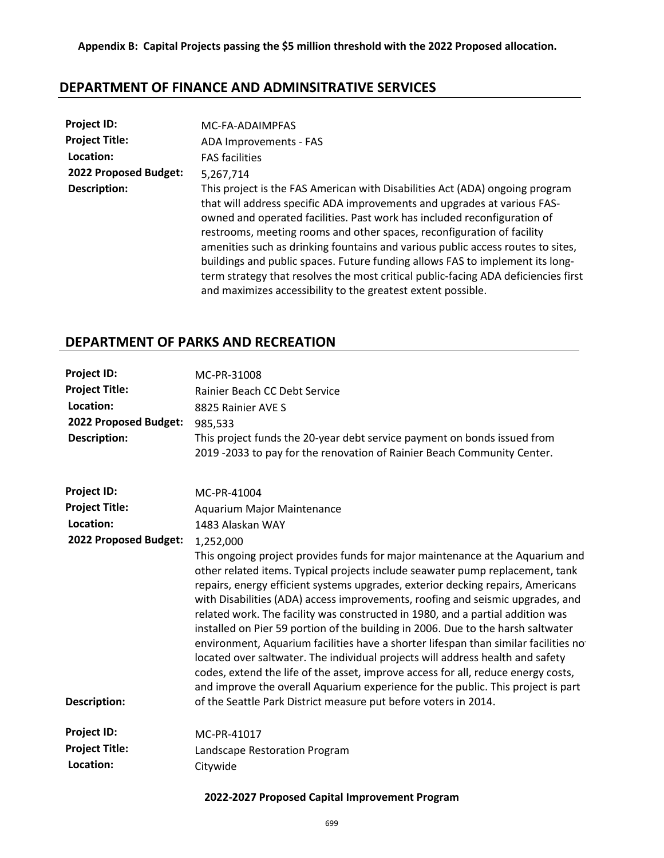# **DEPARTMENT OF FINANCE AND ADMINSITRATIVE SERVICES**

| Project ID:           | MC-FA-ADAIMPFAS                                                                                                                                                                                                                                                                                                                                                                                                                                                                                                                                                                                                                          |
|-----------------------|------------------------------------------------------------------------------------------------------------------------------------------------------------------------------------------------------------------------------------------------------------------------------------------------------------------------------------------------------------------------------------------------------------------------------------------------------------------------------------------------------------------------------------------------------------------------------------------------------------------------------------------|
| <b>Project Title:</b> | ADA Improvements - FAS                                                                                                                                                                                                                                                                                                                                                                                                                                                                                                                                                                                                                   |
| Location:             | <b>FAS facilities</b>                                                                                                                                                                                                                                                                                                                                                                                                                                                                                                                                                                                                                    |
| 2022 Proposed Budget: | 5.267.714                                                                                                                                                                                                                                                                                                                                                                                                                                                                                                                                                                                                                                |
| <b>Description:</b>   | This project is the FAS American with Disabilities Act (ADA) ongoing program<br>that will address specific ADA improvements and upgrades at various FAS-<br>owned and operated facilities. Past work has included reconfiguration of<br>restrooms, meeting rooms and other spaces, reconfiguration of facility<br>amenities such as drinking fountains and various public access routes to sites,<br>buildings and public spaces. Future funding allows FAS to implement its long-<br>term strategy that resolves the most critical public-facing ADA deficiencies first<br>and maximizes accessibility to the greatest extent possible. |

# **DEPARTMENT OF PARKS AND RECREATION**

| <b>Project ID:</b><br><b>Project Title:</b><br>Location:<br>2022 Proposed Budget:<br><b>Description:</b> | MC-PR-31008<br>Rainier Beach CC Debt Service<br>8825 Rainier AVE S<br>985,533<br>This project funds the 20-year debt service payment on bonds issued from<br>2019 -2033 to pay for the renovation of Rainier Beach Community Center.                                                                                                                                                                                                                                                                                                                                                                                                                                                                                                                                                                                                                                                                                           |
|----------------------------------------------------------------------------------------------------------|--------------------------------------------------------------------------------------------------------------------------------------------------------------------------------------------------------------------------------------------------------------------------------------------------------------------------------------------------------------------------------------------------------------------------------------------------------------------------------------------------------------------------------------------------------------------------------------------------------------------------------------------------------------------------------------------------------------------------------------------------------------------------------------------------------------------------------------------------------------------------------------------------------------------------------|
| <b>Project ID:</b>                                                                                       | MC-PR-41004                                                                                                                                                                                                                                                                                                                                                                                                                                                                                                                                                                                                                                                                                                                                                                                                                                                                                                                    |
| <b>Project Title:</b>                                                                                    | <b>Aquarium Major Maintenance</b>                                                                                                                                                                                                                                                                                                                                                                                                                                                                                                                                                                                                                                                                                                                                                                                                                                                                                              |
| Location:                                                                                                | 1483 Alaskan WAY                                                                                                                                                                                                                                                                                                                                                                                                                                                                                                                                                                                                                                                                                                                                                                                                                                                                                                               |
| 2022 Proposed Budget:                                                                                    | 1,252,000                                                                                                                                                                                                                                                                                                                                                                                                                                                                                                                                                                                                                                                                                                                                                                                                                                                                                                                      |
| <b>Description:</b>                                                                                      | This ongoing project provides funds for major maintenance at the Aquarium and<br>other related items. Typical projects include seawater pump replacement, tank<br>repairs, energy efficient systems upgrades, exterior decking repairs, Americans<br>with Disabilities (ADA) access improvements, roofing and seismic upgrades, and<br>related work. The facility was constructed in 1980, and a partial addition was<br>installed on Pier 59 portion of the building in 2006. Due to the harsh saltwater<br>environment, Aquarium facilities have a shorter lifespan than similar facilities no<br>located over saltwater. The individual projects will address health and safety<br>codes, extend the life of the asset, improve access for all, reduce energy costs,<br>and improve the overall Aquarium experience for the public. This project is part<br>of the Seattle Park District measure put before voters in 2014. |
| <b>Project ID:</b>                                                                                       | MC-PR-41017                                                                                                                                                                                                                                                                                                                                                                                                                                                                                                                                                                                                                                                                                                                                                                                                                                                                                                                    |
| <b>Project Title:</b>                                                                                    | Landscape Restoration Program                                                                                                                                                                                                                                                                                                                                                                                                                                                                                                                                                                                                                                                                                                                                                                                                                                                                                                  |
| Location:                                                                                                | Citywide                                                                                                                                                                                                                                                                                                                                                                                                                                                                                                                                                                                                                                                                                                                                                                                                                                                                                                                       |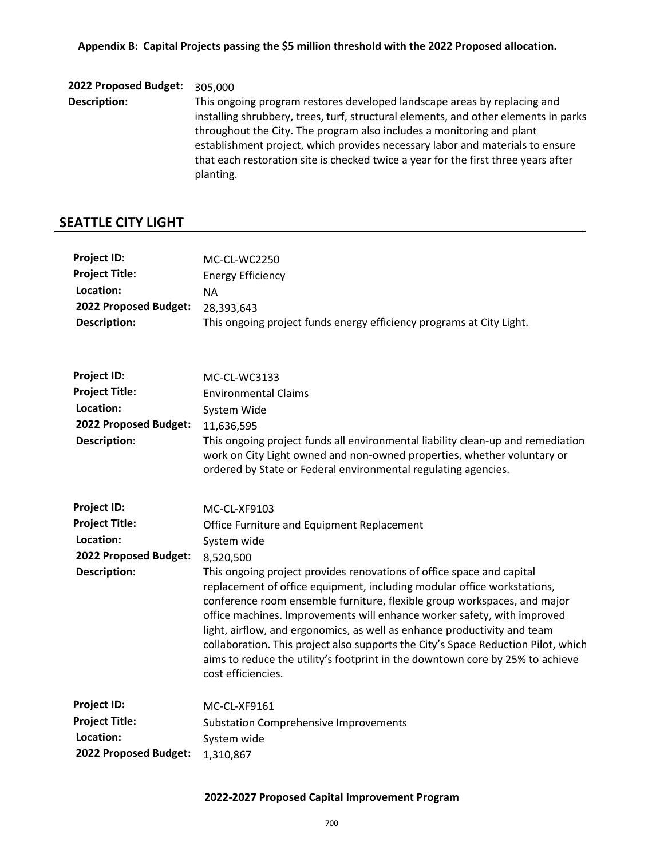**2022 Proposed Budget:** 305,000 **Description:** This ongoing program restores developed landscape areas by replacing and installing shrubbery, trees, turf, structural elements, and other elements in parks throughout the City. The program also includes a monitoring and plant establishment project, which provides necessary labor and materials to ensure that each restoration site is checked twice a year for the first three years after planting.

#### **SEATTLE CITY LIGHT**

| <b>Project ID:</b>    | MC-CL-WC2250                                                                                                                                                                                                                                                                                                                                                                                                                                                                                                                                                                    |
|-----------------------|---------------------------------------------------------------------------------------------------------------------------------------------------------------------------------------------------------------------------------------------------------------------------------------------------------------------------------------------------------------------------------------------------------------------------------------------------------------------------------------------------------------------------------------------------------------------------------|
| <b>Project Title:</b> | <b>Energy Efficiency</b>                                                                                                                                                                                                                                                                                                                                                                                                                                                                                                                                                        |
| Location:             | <b>NA</b>                                                                                                                                                                                                                                                                                                                                                                                                                                                                                                                                                                       |
| 2022 Proposed Budget: | 28,393,643                                                                                                                                                                                                                                                                                                                                                                                                                                                                                                                                                                      |
| <b>Description:</b>   | This ongoing project funds energy efficiency programs at City Light.                                                                                                                                                                                                                                                                                                                                                                                                                                                                                                            |
| <b>Project ID:</b>    |                                                                                                                                                                                                                                                                                                                                                                                                                                                                                                                                                                                 |
| <b>Project Title:</b> | MC-CL-WC3133                                                                                                                                                                                                                                                                                                                                                                                                                                                                                                                                                                    |
| Location:             | <b>Environmental Claims</b>                                                                                                                                                                                                                                                                                                                                                                                                                                                                                                                                                     |
| 2022 Proposed Budget: | System Wide                                                                                                                                                                                                                                                                                                                                                                                                                                                                                                                                                                     |
| <b>Description:</b>   | 11,636,595<br>This ongoing project funds all environmental liability clean-up and remediation<br>work on City Light owned and non-owned properties, whether voluntary or<br>ordered by State or Federal environmental regulating agencies.                                                                                                                                                                                                                                                                                                                                      |
| <b>Project ID:</b>    | MC-CL-XF9103                                                                                                                                                                                                                                                                                                                                                                                                                                                                                                                                                                    |
| <b>Project Title:</b> | Office Furniture and Equipment Replacement                                                                                                                                                                                                                                                                                                                                                                                                                                                                                                                                      |
| Location:             | System wide                                                                                                                                                                                                                                                                                                                                                                                                                                                                                                                                                                     |
| 2022 Proposed Budget: | 8,520,500                                                                                                                                                                                                                                                                                                                                                                                                                                                                                                                                                                       |
| <b>Description:</b>   | This ongoing project provides renovations of office space and capital<br>replacement of office equipment, including modular office workstations,<br>conference room ensemble furniture, flexible group workspaces, and major<br>office machines. Improvements will enhance worker safety, with improved<br>light, airflow, and ergonomics, as well as enhance productivity and team<br>collaboration. This project also supports the City's Space Reduction Pilot, which<br>aims to reduce the utility's footprint in the downtown core by 25% to achieve<br>cost efficiencies. |
| <b>Project ID:</b>    | MC-CL-XF9161                                                                                                                                                                                                                                                                                                                                                                                                                                                                                                                                                                    |
| <b>Project Title:</b> | <b>Substation Comprehensive Improvements</b>                                                                                                                                                                                                                                                                                                                                                                                                                                                                                                                                    |
| Location:             | System wide                                                                                                                                                                                                                                                                                                                                                                                                                                                                                                                                                                     |
| 2022 Proposed Budget: | 1,310,867                                                                                                                                                                                                                                                                                                                                                                                                                                                                                                                                                                       |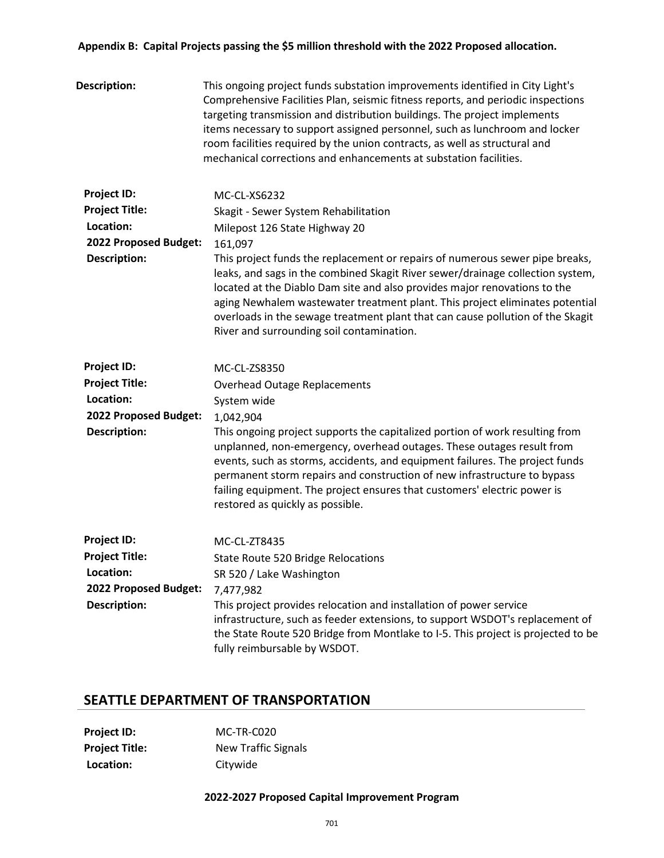#### **Appendix B: Capital Projects passing the \$5 million threshold with the 2022 Proposed allocation.**

| <b>Description:</b>   | This ongoing project funds substation improvements identified in City Light's<br>Comprehensive Facilities Plan, seismic fitness reports, and periodic inspections<br>targeting transmission and distribution buildings. The project implements<br>items necessary to support assigned personnel, such as lunchroom and locker<br>room facilities required by the union contracts, as well as structural and<br>mechanical corrections and enhancements at substation facilities. |
|-----------------------|----------------------------------------------------------------------------------------------------------------------------------------------------------------------------------------------------------------------------------------------------------------------------------------------------------------------------------------------------------------------------------------------------------------------------------------------------------------------------------|
| <b>Project ID:</b>    | MC-CL-XS6232                                                                                                                                                                                                                                                                                                                                                                                                                                                                     |
| <b>Project Title:</b> | Skagit - Sewer System Rehabilitation                                                                                                                                                                                                                                                                                                                                                                                                                                             |
| Location:             | Milepost 126 State Highway 20                                                                                                                                                                                                                                                                                                                                                                                                                                                    |
| 2022 Proposed Budget: | 161,097                                                                                                                                                                                                                                                                                                                                                                                                                                                                          |
| <b>Description:</b>   | This project funds the replacement or repairs of numerous sewer pipe breaks,<br>leaks, and sags in the combined Skagit River sewer/drainage collection system,<br>located at the Diablo Dam site and also provides major renovations to the<br>aging Newhalem wastewater treatment plant. This project eliminates potential<br>overloads in the sewage treatment plant that can cause pollution of the Skagit<br>River and surrounding soil contamination.                       |
| <b>Project ID:</b>    | MC-CL-ZS8350                                                                                                                                                                                                                                                                                                                                                                                                                                                                     |
| <b>Project Title:</b> | <b>Overhead Outage Replacements</b>                                                                                                                                                                                                                                                                                                                                                                                                                                              |
| Location:             | System wide                                                                                                                                                                                                                                                                                                                                                                                                                                                                      |
| 2022 Proposed Budget: | 1,042,904                                                                                                                                                                                                                                                                                                                                                                                                                                                                        |
| <b>Description:</b>   | This ongoing project supports the capitalized portion of work resulting from<br>unplanned, non-emergency, overhead outages. These outages result from<br>events, such as storms, accidents, and equipment failures. The project funds<br>permanent storm repairs and construction of new infrastructure to bypass<br>failing equipment. The project ensures that customers' electric power is<br>restored as quickly as possible.                                                |
| <b>Project ID:</b>    | MC-CL-ZT8435                                                                                                                                                                                                                                                                                                                                                                                                                                                                     |
| <b>Project Title:</b> | <b>State Route 520 Bridge Relocations</b>                                                                                                                                                                                                                                                                                                                                                                                                                                        |
| Location:             | SR 520 / Lake Washington                                                                                                                                                                                                                                                                                                                                                                                                                                                         |
| 2022 Proposed Budget: | 7,477,982                                                                                                                                                                                                                                                                                                                                                                                                                                                                        |
| <b>Description:</b>   | This project provides relocation and installation of power service<br>infrastructure, such as feeder extensions, to support WSDOT's replacement of<br>the State Route 520 Bridge from Montlake to I-5. This project is projected to be<br>fully reimbursable by WSDOT.                                                                                                                                                                                                           |

# **SEATTLE DEPARTMENT OF TRANSPORTATION**

| <b>Project ID:</b>    | MC-TR-C020                 |
|-----------------------|----------------------------|
| <b>Project Title:</b> | <b>New Traffic Signals</b> |
| Location:             | Citywide                   |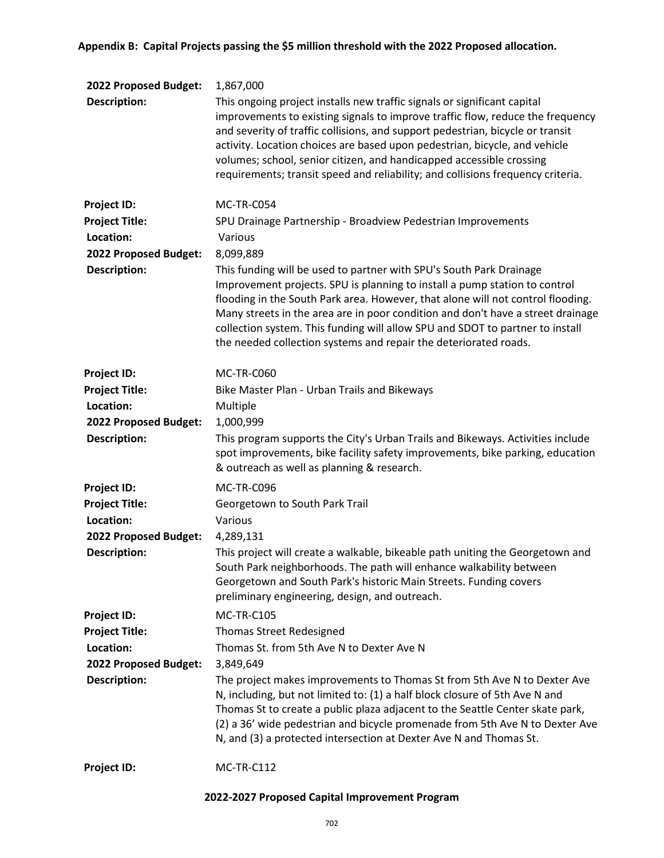| 2022 Proposed Budget: | 1,867,000                                                                                                                                                                                                                                                                                                                                                                                                                                                                             |
|-----------------------|---------------------------------------------------------------------------------------------------------------------------------------------------------------------------------------------------------------------------------------------------------------------------------------------------------------------------------------------------------------------------------------------------------------------------------------------------------------------------------------|
| <b>Description:</b>   | This ongoing project installs new traffic signals or significant capital<br>improvements to existing signals to improve traffic flow, reduce the frequency<br>and severity of traffic collisions, and support pedestrian, bicycle or transit<br>activity. Location choices are based upon pedestrian, bicycle, and vehicle<br>volumes; school, senior citizen, and handicapped accessible crossing<br>requirements; transit speed and reliability; and collisions frequency criteria. |
| <b>Project ID:</b>    | MC-TR-C054                                                                                                                                                                                                                                                                                                                                                                                                                                                                            |
| <b>Project Title:</b> | SPU Drainage Partnership - Broadview Pedestrian Improvements                                                                                                                                                                                                                                                                                                                                                                                                                          |
| Location:             | Various                                                                                                                                                                                                                                                                                                                                                                                                                                                                               |
| 2022 Proposed Budget: | 8,099,889                                                                                                                                                                                                                                                                                                                                                                                                                                                                             |
| <b>Description:</b>   | This funding will be used to partner with SPU's South Park Drainage<br>Improvement projects. SPU is planning to install a pump station to control<br>flooding in the South Park area. However, that alone will not control flooding.<br>Many streets in the area are in poor condition and don't have a street drainage<br>collection system. This funding will allow SPU and SDOT to partner to install<br>the needed collection systems and repair the deteriorated roads.          |
| <b>Project ID:</b>    | MC-TR-C060                                                                                                                                                                                                                                                                                                                                                                                                                                                                            |
| <b>Project Title:</b> | Bike Master Plan - Urban Trails and Bikeways                                                                                                                                                                                                                                                                                                                                                                                                                                          |
| Location:             | Multiple                                                                                                                                                                                                                                                                                                                                                                                                                                                                              |
| 2022 Proposed Budget: | 1,000,999                                                                                                                                                                                                                                                                                                                                                                                                                                                                             |
| <b>Description:</b>   | This program supports the City's Urban Trails and Bikeways. Activities include<br>spot improvements, bike facility safety improvements, bike parking, education<br>& outreach as well as planning & research.                                                                                                                                                                                                                                                                         |
| Project ID:           | MC-TR-C096                                                                                                                                                                                                                                                                                                                                                                                                                                                                            |
| <b>Project Title:</b> | Georgetown to South Park Trail                                                                                                                                                                                                                                                                                                                                                                                                                                                        |
| Location:             | Various                                                                                                                                                                                                                                                                                                                                                                                                                                                                               |
| 2022 Proposed Budget: | 4,289,131                                                                                                                                                                                                                                                                                                                                                                                                                                                                             |
| <b>Description:</b>   | This project will create a walkable, bikeable path uniting the Georgetown and<br>South Park neighborhoods. The path will enhance walkability between<br>Georgetown and South Park's historic Main Streets. Funding covers<br>preliminary engineering, design, and outreach.                                                                                                                                                                                                           |
| <b>Project ID:</b>    | <b>MC-TR-C105</b>                                                                                                                                                                                                                                                                                                                                                                                                                                                                     |
| <b>Project Title:</b> | <b>Thomas Street Redesigned</b>                                                                                                                                                                                                                                                                                                                                                                                                                                                       |
| Location:             | Thomas St. from 5th Ave N to Dexter Ave N                                                                                                                                                                                                                                                                                                                                                                                                                                             |
| 2022 Proposed Budget: | 3,849,649                                                                                                                                                                                                                                                                                                                                                                                                                                                                             |
| <b>Description:</b>   | The project makes improvements to Thomas St from 5th Ave N to Dexter Ave<br>N, including, but not limited to: (1) a half block closure of 5th Ave N and<br>Thomas St to create a public plaza adjacent to the Seattle Center skate park,<br>(2) a 36' wide pedestrian and bicycle promenade from 5th Ave N to Dexter Ave<br>N, and (3) a protected intersection at Dexter Ave N and Thomas St.                                                                                        |
| <b>Project ID:</b>    | MC-TR-C112                                                                                                                                                                                                                                                                                                                                                                                                                                                                            |
|                       |                                                                                                                                                                                                                                                                                                                                                                                                                                                                                       |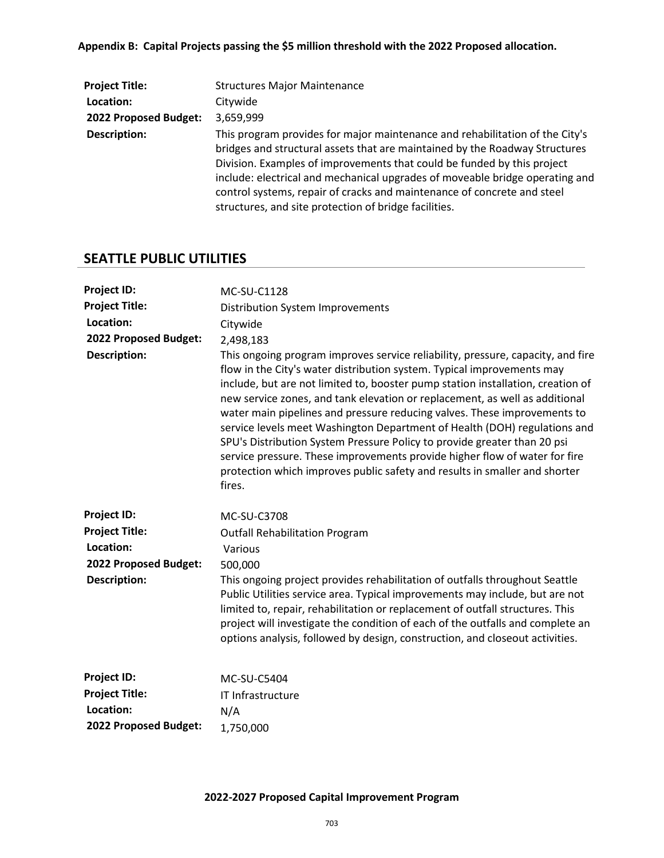# **Appendix B: Capital Projects passing the \$5 million threshold with the 2022 Proposed allocation.**

| <b>Project Title:</b> | <b>Structures Major Maintenance</b>                                                                                                                                                                                                                                                                                                                                                                                                                        |
|-----------------------|------------------------------------------------------------------------------------------------------------------------------------------------------------------------------------------------------------------------------------------------------------------------------------------------------------------------------------------------------------------------------------------------------------------------------------------------------------|
| Location:             | Citywide                                                                                                                                                                                                                                                                                                                                                                                                                                                   |
| 2022 Proposed Budget: | 3,659,999                                                                                                                                                                                                                                                                                                                                                                                                                                                  |
| <b>Description:</b>   | This program provides for major maintenance and rehabilitation of the City's<br>bridges and structural assets that are maintained by the Roadway Structures<br>Division. Examples of improvements that could be funded by this project<br>include: electrical and mechanical upgrades of moveable bridge operating and<br>control systems, repair of cracks and maintenance of concrete and steel<br>structures, and site protection of bridge facilities. |

# **SEATTLE PUBLIC UTILITIES**

| <b>Project ID:</b>    | MC-SU-C1128                                                                                                                                                                                                                                                                                                                                                                                                                                                                                                                                                                                                                                                                                                                            |
|-----------------------|----------------------------------------------------------------------------------------------------------------------------------------------------------------------------------------------------------------------------------------------------------------------------------------------------------------------------------------------------------------------------------------------------------------------------------------------------------------------------------------------------------------------------------------------------------------------------------------------------------------------------------------------------------------------------------------------------------------------------------------|
| <b>Project Title:</b> | <b>Distribution System Improvements</b>                                                                                                                                                                                                                                                                                                                                                                                                                                                                                                                                                                                                                                                                                                |
| Location:             | Citywide                                                                                                                                                                                                                                                                                                                                                                                                                                                                                                                                                                                                                                                                                                                               |
| 2022 Proposed Budget: | 2,498,183                                                                                                                                                                                                                                                                                                                                                                                                                                                                                                                                                                                                                                                                                                                              |
| <b>Description:</b>   | This ongoing program improves service reliability, pressure, capacity, and fire<br>flow in the City's water distribution system. Typical improvements may<br>include, but are not limited to, booster pump station installation, creation of<br>new service zones, and tank elevation or replacement, as well as additional<br>water main pipelines and pressure reducing valves. These improvements to<br>service levels meet Washington Department of Health (DOH) regulations and<br>SPU's Distribution System Pressure Policy to provide greater than 20 psi<br>service pressure. These improvements provide higher flow of water for fire<br>protection which improves public safety and results in smaller and shorter<br>fires. |
| <b>Project ID:</b>    | <b>MC-SU-C3708</b>                                                                                                                                                                                                                                                                                                                                                                                                                                                                                                                                                                                                                                                                                                                     |
| <b>Project Title:</b> | <b>Outfall Rehabilitation Program</b>                                                                                                                                                                                                                                                                                                                                                                                                                                                                                                                                                                                                                                                                                                  |
| Location:             | Various                                                                                                                                                                                                                                                                                                                                                                                                                                                                                                                                                                                                                                                                                                                                |
| 2022 Proposed Budget: | 500,000                                                                                                                                                                                                                                                                                                                                                                                                                                                                                                                                                                                                                                                                                                                                |
| <b>Description:</b>   | This ongoing project provides rehabilitation of outfalls throughout Seattle<br>Public Utilities service area. Typical improvements may include, but are not<br>limited to, repair, rehabilitation or replacement of outfall structures. This<br>project will investigate the condition of each of the outfalls and complete an<br>options analysis, followed by design, construction, and closeout activities.                                                                                                                                                                                                                                                                                                                         |
| <b>Project ID:</b>    | <b>MC-SU-C5404</b>                                                                                                                                                                                                                                                                                                                                                                                                                                                                                                                                                                                                                                                                                                                     |
| <b>Project Title:</b> | IT Infrastructure                                                                                                                                                                                                                                                                                                                                                                                                                                                                                                                                                                                                                                                                                                                      |
| Location:             | N/A                                                                                                                                                                                                                                                                                                                                                                                                                                                                                                                                                                                                                                                                                                                                    |
| 2022 Proposed Budget: | 1,750,000                                                                                                                                                                                                                                                                                                                                                                                                                                                                                                                                                                                                                                                                                                                              |